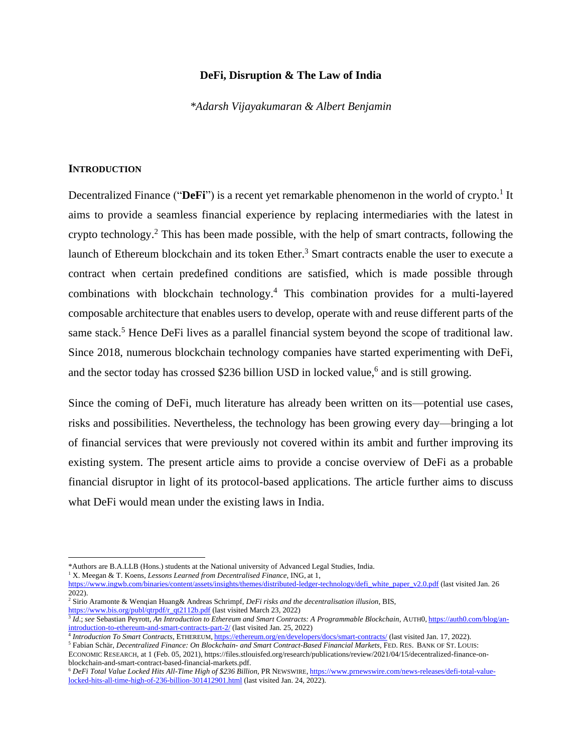# **DeFi, Disruption & The Law of India**

*\*Adarsh Vijayakumaran & Albert Benjamin*

### **INTRODUCTION**

Decentralized Finance ("DeFi") is a recent yet remarkable phenomenon in the world of crypto.<sup>1</sup> It aims to provide a seamless financial experience by replacing intermediaries with the latest in crypto technology.<sup>2</sup> This has been made possible, with the help of smart contracts, following the launch of Ethereum blockchain and its token Ether.<sup>3</sup> Smart contracts enable the user to execute a contract when certain predefined conditions are satisfied, which is made possible through combinations with blockchain technology.<sup>4</sup> This combination provides for a multi-layered composable architecture that enables users to develop, operate with and reuse different parts of the same stack.<sup>5</sup> Hence DeFi lives as a parallel financial system beyond the scope of traditional law. Since 2018, numerous blockchain technology companies have started experimenting with DeFi, and the sector today has crossed \$236 billion USD in locked value,<sup>6</sup> and is still growing.

Since the coming of DeFi, much literature has already been written on its—potential use cases, risks and possibilities. Nevertheless, the technology has been growing every day—bringing a lot of financial services that were previously not covered within its ambit and further improving its existing system. The present article aims to provide a concise overview of DeFi as a probable financial disruptor in light of its protocol-based applications. The article further aims to discuss what DeFi would mean under the existing laws in India.

<sup>\*</sup>Authors are B.A.LLB (Hons.) students at the National university of Advanced Legal Studies, India.

<sup>1</sup> X. Meegan & T. Koens, *Lessons Learned from Decentralised Finance*, ING, at 1,

[https://www.ingwb.com/binaries/content/assets/insights/themes/distributed-ledger-technology/defi\\_white\\_paper\\_v2.0.pdf](https://www.ingwb.com/binaries/content/assets/insights/themes/distributed-ledger-technology/defi_white_paper_v2.0.pdf) (last visited Jan. 26 2022).

<sup>2</sup> Sirio Aramonte & Wenqian Huang& Andreas Schrimpf, *DeFi risks and the decentralisation illusion*, BIS, [https://www.bis.org/publ/qtrpdf/r\\_qt2112b.pdf](https://www.bis.org/publ/qtrpdf/r_qt2112b.pdf) (last visited March 23, 2022)

<sup>&</sup>lt;sup>3</sup> *Id.*; see Sebastian Peyrott, *An Introduction to Ethereum and Smart Contracts: A Programmable Blockchain*, AUTH0, [https://auth0.com/blog/an](https://auth0.com/blog/an-introduction-to-ethereum-and-smart-contracts-part-2/)[introduction-to-ethereum-and-smart-contracts-part-2/](https://auth0.com/blog/an-introduction-to-ethereum-and-smart-contracts-part-2/) (last visited Jan. 25, 2022)

<sup>4</sup> *Introduction To Smart Contracts*, ETHEREUM, <https://ethereum.org/en/developers/docs/smart-contracts/> (last visited Jan. 17, 2022).

<sup>5</sup> Fabian Schär, *Decentralized Finance: On Blockchain- and Smart Contract-Based Financial Markets*, FED. RES. BANK OF ST. LOUIS: ECONOMIC RESEARCH, at 1 (Feb. 05, 2021), https://files.stlouisfed.org/research/publications/review/2021/04/15/decentralized-finance-onblockchain-and-smart-contract-based-financial-markets.pdf.

<sup>6</sup> *DeFi Total Value Locked Hits All-Time High of \$236 Billion*, PR NEWSWIRE, [https://www.prnewswire.com/news-releases/defi-total-value](https://www.prnewswire.com/news-releases/defi-total-value-locked-hits-all-time-high-of-236-billion-301412901.html)[locked-hits-all-time-high-of-236-billion-301412901.html](https://www.prnewswire.com/news-releases/defi-total-value-locked-hits-all-time-high-of-236-billion-301412901.html) (last visited Jan. 24, 2022).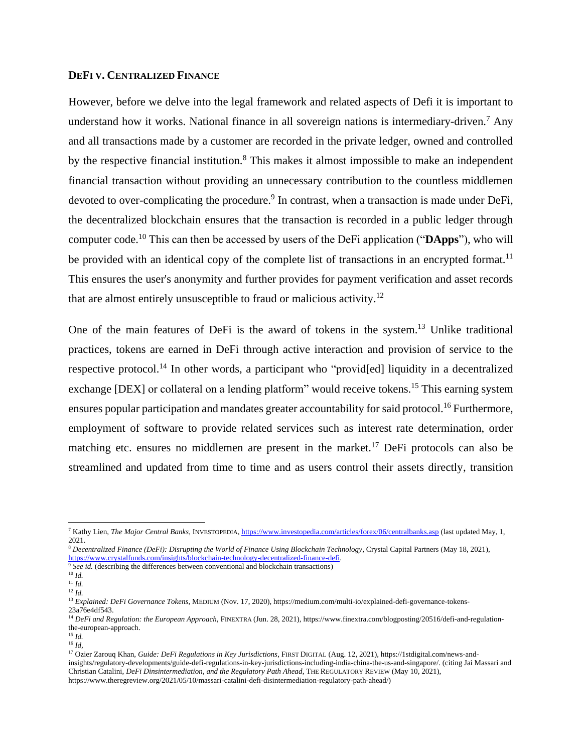## **DEFI V. CENTRALIZED FINANCE**

However, before we delve into the legal framework and related aspects of Defi it is important to understand how it works. National finance in all sovereign nations is intermediary-driven.<sup>7</sup> Any and all transactions made by a customer are recorded in the private ledger, owned and controlled by the respective financial institution.<sup>8</sup> This makes it almost impossible to make an independent financial transaction without providing an unnecessary contribution to the countless middlemen devoted to over-complicating the procedure.<sup>9</sup> In contrast, when a transaction is made under DeFi, the decentralized blockchain ensures that the transaction is recorded in a public ledger through computer code.<sup>10</sup> This can then be accessed by users of the DeFi application ("**DApps**"), who will be provided with an identical copy of the complete list of transactions in an encrypted format.<sup>11</sup> This ensures the user's anonymity and further provides for payment verification and asset records that are almost entirely unsusceptible to fraud or malicious activity.<sup>12</sup>

One of the main features of DeFi is the award of tokens in the system.<sup>13</sup> Unlike traditional practices, tokens are earned in DeFi through active interaction and provision of service to the respective protocol.<sup>14</sup> In other words, a participant who "providential liquidity in a decentralized exchange [DEX] or collateral on a lending platform" would receive tokens.<sup>15</sup> This earning system ensures popular participation and mandates greater accountability for said protocol.<sup>16</sup> Furthermore, employment of software to provide related services such as interest rate determination, order matching etc. ensures no middlemen are present in the market.<sup>17</sup> DeFi protocols can also be streamlined and updated from time to time and as users control their assets directly, transition

<sup>7</sup> Kathy Lien, *The Major Central Banks*, INVESTOPEDIA[, https://www.investopedia.com/articles/forex/06/centralbanks.asp](https://www.investopedia.com/articles/forex/06/centralbanks.asp) (last updated May, 1, 2021.

<sup>8</sup> *Decentralized Finance (DeFi): Disrupting the World of Finance Using Blockchain Technology*, Crystal Capital Partners (May 18, 2021), https://www.crystalfunds.com/insights/blockchain-technology-decentralized-finance-defi.<br><sup>9</sup> See id (describing the differences between conventional and blockchain transactions).

*See id.* (describing the differences between conventional and blockchain transactions)

 $^{10}$   $Id.$ 

 $11$  *Id.* 

<sup>12</sup> *Id.* 

<sup>13</sup> *Explained: DeFi Governance Tokens*, MEDIUM (Nov. 17, 2020), https://medium.com/multi-io/explained-defi-governance-tokens-23a76e4df543.

<sup>&</sup>lt;sup>14</sup> DeFi and Regulation: the European Approach, FINEXTRA (Jun. 28, 2021), https://www.finextra.com/blogposting/20516/defi-and-regulationthe-european-approach.

 $^{15}$  *Id.* 

<sup>16</sup> *Id,* 

<sup>17</sup> Ozier Zarouq Khan, *Guide: DeFi Regulations in Key Jurisdictions*, FIRST DIGITAL (Aug. 12, 2021), https://1stdigital.com/news-andinsights/regulatory-developments/guide-defi-regulations-in-key-jurisdictions-including-india-china-the-us-and-singapore/. (citing Jai Massari and Christian Catalini, *DeFi Dinsintermediation, and the Regulatory Path Ahead*, THE REGULATORY REVIEW (May 10, 2021), https://www.theregreview.org/2021/05/10/massari-catalini-defi-disintermediation-regulatory-path-ahead/)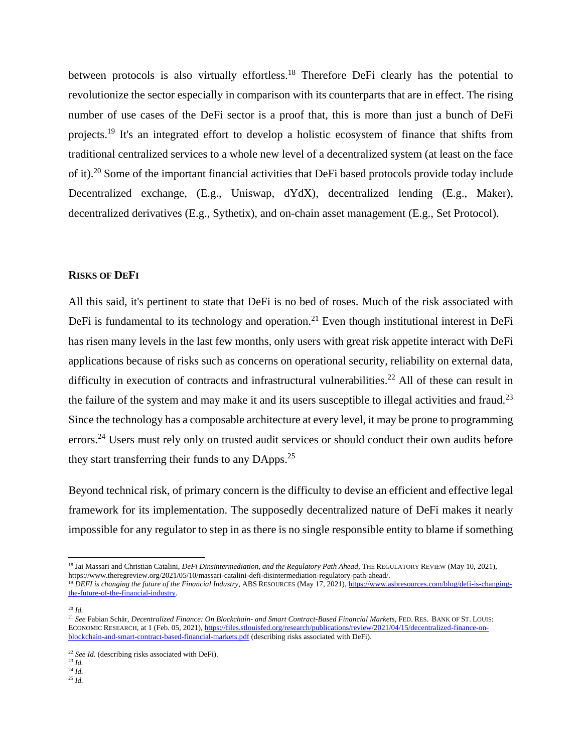between protocols is also virtually effortless.<sup>18</sup> Therefore DeFi clearly has the potential to revolutionize the sector especially in comparison with its counterparts that are in effect. The rising number of use cases of the DeFi sector is a proof that, this is more than just a bunch of DeFi projects.<sup>19</sup> It's an integrated effort to develop a holistic ecosystem of finance that shifts from traditional centralized services to a whole new level of a decentralized system (at least on the face of it).<sup>20</sup> Some of the important financial activities that DeFi based protocols provide today include Decentralized exchange, (E.g., Uniswap, dYdX), decentralized lending (E.g., Maker), decentralized derivatives (E.g., Sythetix), and on-chain asset management (E.g., Set Protocol).

#### **RISKS OF DEFI**

All this said, it's pertinent to state that DeFi is no bed of roses. Much of the risk associated with DeFi is fundamental to its technology and operation.<sup>21</sup> Even though institutional interest in DeFi has risen many levels in the last few months, only users with great risk appetite interact with DeFi applications because of risks such as concerns on operational security, reliability on external data, difficulty in execution of contracts and infrastructural vulnerabilities.<sup>22</sup> All of these can result in the failure of the system and may make it and its users susceptible to illegal activities and fraud.<sup>23</sup> Since the technology has a composable architecture at every level, it may be prone to programming errors.<sup>24</sup> Users must rely only on trusted audit services or should conduct their own audits before they start transferring their funds to any DApps.<sup>25</sup>

Beyond technical risk, of primary concern is the difficulty to devise an efficient and effective legal framework for its implementation. The supposedly decentralized nature of DeFi makes it nearly impossible for any regulator to step in as there is no single responsible entity to blame if something

<sup>19</sup> *DEFI is changing the future of the Financial Industry*, ABS RESOURCES (May 17, 2021)[, https://www.asbresources.com/blog/defi-is-changing](https://www.asbresources.com/blog/defi-is-changing-the-future-of-the-financial-industry)[the-future-of-the-financial-industry.](https://www.asbresources.com/blog/defi-is-changing-the-future-of-the-financial-industry)

<sup>20</sup> *Id.* 

 $^{23}$  *Id.* 

<sup>&</sup>lt;sup>18</sup> Jai Massari and Christian Catalini, *DeFi Dinsintermediation, and the Regulatory Path Ahead*, THE REGULATORY REVIEW (May 10, 2021), https://www.theregreview.org/2021/05/10/massari-catalini-defi-disintermediation-regulatory-path-ahead/.

<sup>21</sup> *See* Fabian Schär, *Decentralized Finance: On Blockchain- and Smart Contract-Based Financial Markets*, FED. RES. BANK OF ST. LOUIS: ECONOMIC RESEARCH, at 1 (Feb. 05, 2021)[, https://files.stlouisfed.org/research/publications/review/2021/04/15/decentralized-finance-on](https://files.stlouisfed.org/research/publications/review/2021/04/15/decentralized-finance-on-blockchain-and-smart-contract-based-financial-markets.pdf)[blockchain-and-smart-contract-based-financial-markets.pdf](https://files.stlouisfed.org/research/publications/review/2021/04/15/decentralized-finance-on-blockchain-and-smart-contract-based-financial-markets.pdf) (describing risks associated with DeFi).

<sup>&</sup>lt;sup>22</sup> See Id. (describing risks associated with DeFi).

 $24$  *Id.* 

<sup>25</sup> *Id.*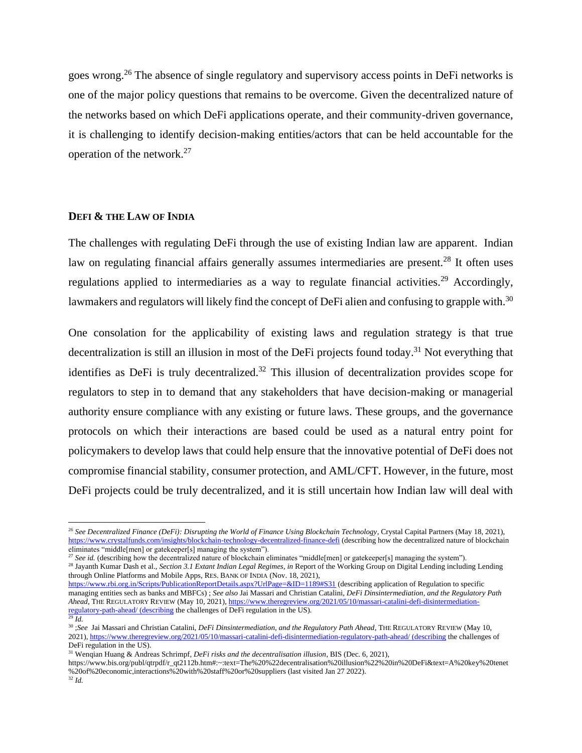goes wrong.<sup>26</sup> The absence of single regulatory and supervisory access points in DeFi networks is one of the major policy questions that remains to be overcome. Given the decentralized nature of the networks based on which DeFi applications operate, and their community-driven governance, it is challenging to identify decision-making entities/actors that can be held accountable for the operation of the network.<sup>27</sup>

## **DEFI & THE LAW OF INDIA**

The challenges with regulating DeFi through the use of existing Indian law are apparent. Indian law on regulating financial affairs generally assumes intermediaries are present.<sup>28</sup> It often uses regulations applied to intermediaries as a way to regulate financial activities.<sup>29</sup> Accordingly, lawmakers and regulators will likely find the concept of DeFi alien and confusing to grapple with.<sup>30</sup>

One consolation for the applicability of existing laws and regulation strategy is that true decentralization is still an illusion in most of the DeFi projects found today.<sup>31</sup> Not everything that identifies as DeFi is truly decentralized.<sup>32</sup> This illusion of decentralization provides scope for regulators to step in to demand that any stakeholders that have decision-making or managerial authority ensure compliance with any existing or future laws. These groups, and the governance protocols on which their interactions are based could be used as a natural entry point for policymakers to develop laws that could help ensure that the innovative potential of DeFi does not compromise financial stability, consumer protection, and AML/CFT. However, in the future, most DeFi projects could be truly decentralized, and it is still uncertain how Indian law will deal with

 $\delta$  *See id.* (describing how the decentralized nature of blockchain eliminates "middle[men] or gatekeeper[s] managing the system"). <sup>28</sup> Jayanth Kumar Dash et al., *Section 3.1 Extant Indian Legal Regimes*, *in* Report of the Working Group on Digital Lending including Lending through Online Platforms and Mobile Apps, RES. BANK OF INDIA (Nov. 18, 2021),

<https://www.rbi.org.in/Scripts/PublicationReportDetails.aspx?UrlPage=&ID=1189#S31> (describing application of Regulation to specific managing entities sech as banks and MBFCs) ; *See also* Jai Massari and Christian Catalini, *DeFi Dinsintermediation, and the Regulatory Path Ahead*, THE REGULATORY REVIEW (May 10, 2021), [https://www.theregreview.org/2021/05/10/massari-catalini-defi-disintermediation](https://www.theregreview.org/2021/05/10/massari-catalini-defi-disintermediation-regulatory-path-ahead/%20(describing)[regulatory-path-ahead/ \(describing](https://www.theregreview.org/2021/05/10/massari-catalini-defi-disintermediation-regulatory-path-ahead/%20(describing) the challenges of DeFi regulation in the US).

<sup>29</sup> *Id.* 

https://www.bis.org/publ/qtrpdf/r\_qt2112b.htm#:~:text=The%20%22decentralisation%20illusion%22%20in%20DeFi&text=A%20key%20tenet %20of%20economic,interactions%20with%20staff%20or%20suppliers (last visited Jan 27 2022).

<sup>26</sup> *See Decentralized Finance (DeFi): Disrupting the World of Finance Using Blockchain Technology*, Crystal Capital Partners (May 18, 2021), <https://www.crystalfunds.com/insights/blockchain-technology-decentralized-finance-defi> (describing how the decentralized nature of blockchain eliminates "middle[men] or gatekeeper[s] managing the system").

<sup>30</sup> ;*See* Jai Massari and Christian Catalini, *DeFi Dinsintermediation, and the Regulatory Path Ahead*, THE REGULATORY REVIEW (May 10, 2021)[, https://www.theregreview.org/2021/05/10/massari-catalini-defi-disintermediation-regulatory-path-ahead/ \(describing](https://www.theregreview.org/2021/05/10/massari-catalini-defi-disintermediation-regulatory-path-ahead/%20(describing) the challenges of DeFi regulation in the US).

<sup>31</sup> Wenqian Huang & Andreas Schrimpf, *DeFi risks and the decentralisation illusion*, BIS (Dec. 6, 2021),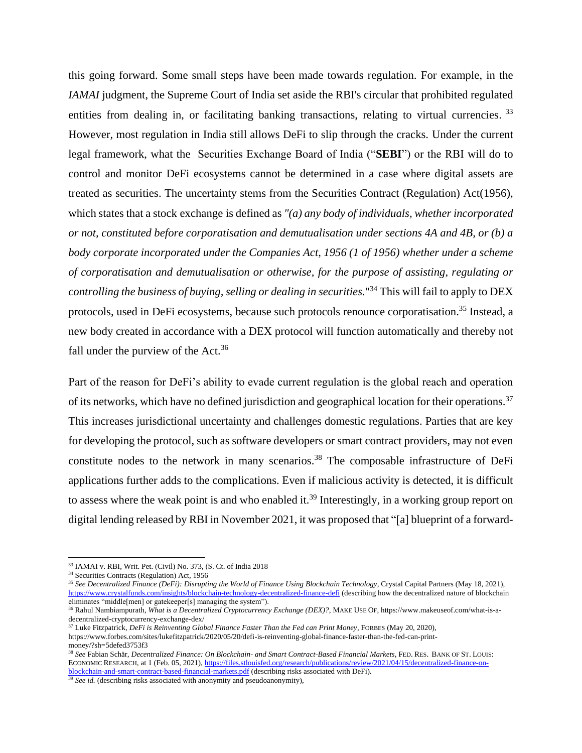this going forward. Some small steps have been made towards regulation. For example, in the *IAMAI* judgment, the Supreme Court of India set aside the RBI's circular that prohibited regulated entities from dealing in, or facilitating banking transactions, relating to virtual currencies.<sup>33</sup> However, most regulation in India still allows DeFi to slip through the cracks. Under the current legal framework, what the Securities Exchange Board of India ("**SEBI**") or the RBI will do to control and monitor DeFi ecosystems cannot be determined in a case where digital assets are treated as securities. The uncertainty stems from the Securities Contract (Regulation) Act(1956), which states that a stock exchange is defined as *"(a) any body of individuals, whether incorporated or not, constituted before corporatisation and demutualisation under sections 4A and 4B, or (b) a body corporate incorporated under the Companies Act, 1956 (1 of 1956) whether under a scheme of corporatisation and demutualisation or otherwise, for the purpose of assisting, regulating or controlling the business of buying, selling or dealing in securities.*" <sup>34</sup> This will fail to apply to DEX protocols, used in DeFi ecosystems, because such protocols renounce corporatisation.<sup>35</sup> Instead, a new body created in accordance with a DEX protocol will function automatically and thereby not fall under the purview of the  $Act.^{36}$ 

Part of the reason for DeFi's ability to evade current regulation is the global reach and operation of its networks, which have no defined jurisdiction and geographical location for their operations.<sup>37</sup> This increases jurisdictional uncertainty and challenges domestic regulations. Parties that are key for developing the protocol, such as software developers or smart contract providers, may not even constitute nodes to the network in many scenarios.<sup>38</sup> The composable infrastructure of DeFi applications further adds to the complications. Even if malicious activity is detected, it is difficult to assess where the weak point is and who enabled it.<sup>39</sup> Interestingly, in a working group report on digital lending released by RBI in November 2021, it was proposed that "[a] blueprint of a forward-

<sup>38</sup> *See* Fabian Schär, *Decentralized Finance: On Blockchain- and Smart Contract-Based Financial Markets*, FED. RES. BANK OF ST. LOUIS: ECONOMIC RESEARCH, at 1 (Feb. 05, 2021)[, https://files.stlouisfed.org/research/publications/review/2021/04/15/decentralized-finance-on](https://files.stlouisfed.org/research/publications/review/2021/04/15/decentralized-finance-on-blockchain-and-smart-contract-based-financial-markets.pdf)[blockchain-and-smart-contract-based-financial-markets.pdf](https://files.stlouisfed.org/research/publications/review/2021/04/15/decentralized-finance-on-blockchain-and-smart-contract-based-financial-markets.pdf) (describing risks associated with DeFi).

<sup>39</sup> *See id.* (describing risks associated with anonymity and pseudoanonymity),

<sup>33</sup> IAMAI v. RBI, Writ. Pet. (Civil) No. 373, (S. Ct. of India 2018

<sup>34</sup> Securities Contracts (Regulation) Act, 1956

<sup>&</sup>lt;sup>35</sup> See Decentralized Finance (DeFi): Disrupting the World of Finance Using Blockchain Technology, Crystal Capital Partners (May 18, 2021), <https://www.crystalfunds.com/insights/blockchain-technology-decentralized-finance-defi> (describing how the decentralized nature of blockchain eliminates "middle[men] or gatekeeper[s] managing the system").

<sup>36</sup> Rahul Nambiampurath, *What is a Decentralized Cryptocurrency Exchange (DEX)?*, MAKE USE OF, https://www.makeuseof.com/what-is-adecentralized-cryptocurrency-exchange-dex/

<sup>37</sup> Luke Fitzpatrick, *DeFi is Reinventing Global Finance Faster Than the Fed can Print Money*, FORBES (May 20, 2020), https://www.forbes.com/sites/lukefitzpatrick/2020/05/20/defi-is-reinventing-global-finance-faster-than-the-fed-can-printmoney/?sh=5defed3753f3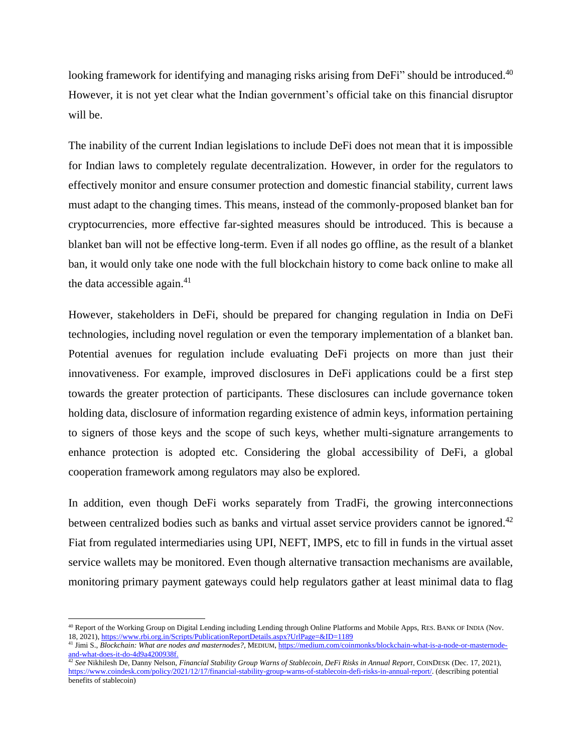looking framework for identifying and managing risks arising from DeFi" should be introduced.<sup>40</sup> However, it is not yet clear what the Indian government's official take on this financial disruptor will be.

The inability of the current Indian legislations to include DeFi does not mean that it is impossible for Indian laws to completely regulate decentralization. However, in order for the regulators to effectively monitor and ensure consumer protection and domestic financial stability, current laws must adapt to the changing times. This means, instead of the commonly-proposed blanket ban for cryptocurrencies, more effective far-sighted measures should be introduced. This is because a blanket ban will not be effective long-term. Even if all nodes go offline, as the result of a blanket ban, it would only take one node with the full blockchain history to come back online to make all the data accessible again. $41$ 

However, stakeholders in DeFi, should be prepared for changing regulation in India on DeFi technologies, including novel regulation or even the temporary implementation of a blanket ban. Potential avenues for regulation include evaluating DeFi projects on more than just their innovativeness. For example, improved disclosures in DeFi applications could be a first step towards the greater protection of participants. These disclosures can include governance token holding data, disclosure of information regarding existence of admin keys, information pertaining to signers of those keys and the scope of such keys, whether multi-signature arrangements to enhance protection is adopted etc. Considering the global accessibility of DeFi, a global cooperation framework among regulators may also be explored.

In addition, even though DeFi works separately from TradFi, the growing interconnections between centralized bodies such as banks and virtual asset service providers cannot be ignored.<sup>42</sup> Fiat from regulated intermediaries using UPI, NEFT, IMPS, etc to fill in funds in the virtual asset service wallets may be monitored. Even though alternative transaction mechanisms are available, monitoring primary payment gateways could help regulators gather at least minimal data to flag

<sup>40</sup> Report of the Working Group on Digital Lending including Lending through Online Platforms and Mobile Apps, RES. BANK OF INDIA (Nov. 18, 2021)[, https://www.rbi.org.in/Scripts/PublicationReportDetails.aspx?UrlPage=&ID=1189](about:blank)

<sup>41</sup> Jimi S., *Blockchain: What are nodes and masternodes?*, MEDIUM, [https://medium.com/coinmonks/blockchain-what-is-a-node-or-masternode](about:blank)[and-what-does-it-do-4d9a4200938f.](about:blank)

<sup>42</sup> *See* Nikhilesh De, Danny Nelson, *Financial Stability Group Warns of Stablecoin, DeFi Risks in Annual Report*, COINDESK (Dec. 17, 2021), [https://www.coindesk.com/policy/2021/12/17/financial-stability-group-warns-of-stablecoin-defi-risks-in-annual-report/.](https://www.coindesk.com/policy/2021/12/17/financial-stability-group-warns-of-stablecoin-defi-risks-in-annual-report/) (describing potential benefits of stablecoin)